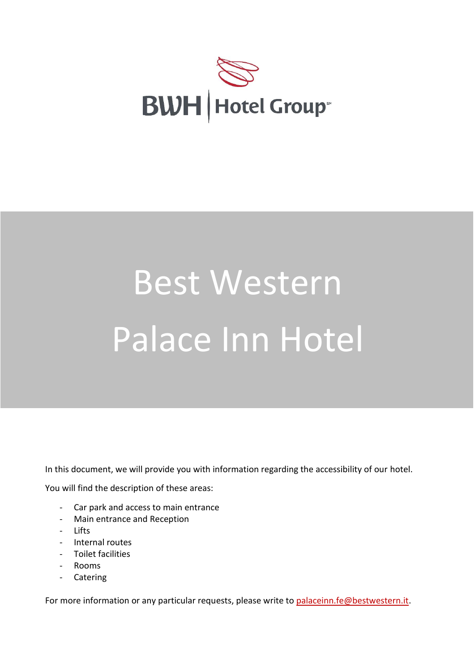

# Best Western Palace Inn Hotel

In this document, we will provide you with information regarding the accessibility of our hotel.

You will find the description of these areas:

- Car park and access to main entrance
- Main entrance and Reception
- Lifts
- Internal routes
- Toilet facilities
- Rooms
- **Catering**

For more information or any particular requests, please write to [palaceinn.fe@bestwestern.it.](palaceinn.fe@bestwestern.it)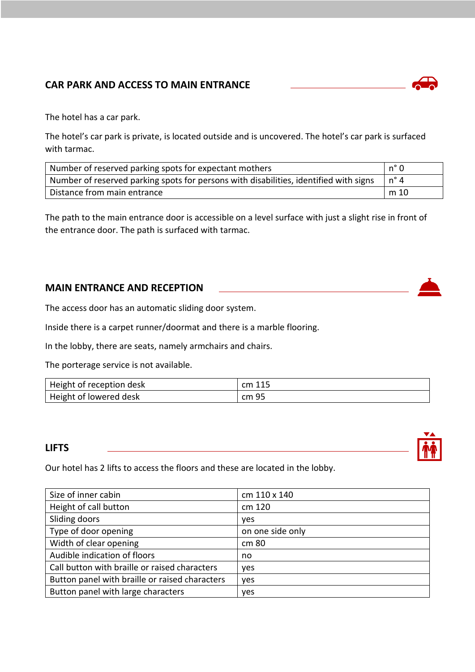# **CAR PARK AND ACCESS TO MAIN ENTRANCE**

The hotel has a car park.

The hotel's car park is private, is located outside and is uncovered. The hotel's car park is surfaced with tarmac.

| Number of reserved parking spots for expectant mothers                                | n° 0   |
|---------------------------------------------------------------------------------------|--------|
| Number of reserved parking spots for persons with disabilities, identified with signs |        |
| Distance from main entrance                                                           | l m 10 |

The path to the main entrance door is accessible on a level surface with just a slight rise in front of the entrance door. The path is surfaced with tarmac.

#### **MAIN ENTRANCE AND RECEPTION**

The access door has an automatic sliding door system.

Inside there is a carpet runner/doormat and there is a marble flooring.

In the lobby, there are seats, namely armchairs and chairs.

The porterage service is not available.

| Height of reception desk | cm 115 |
|--------------------------|--------|
| Height of lowered desk   | cm 95  |

#### **LIFTS**

Our hotel has 2 lifts to access the floors and these are located in the lobby.

| Size of inner cabin                            | cm 110 x 140     |
|------------------------------------------------|------------------|
| Height of call button                          | cm 120           |
| Sliding doors                                  | yes              |
| Type of door opening                           | on one side only |
| Width of clear opening                         | cm 80            |
| Audible indication of floors                   | no               |
| Call button with braille or raised characters  | yes              |
| Button panel with braille or raised characters | yes              |
| Button panel with large characters             | ves              |





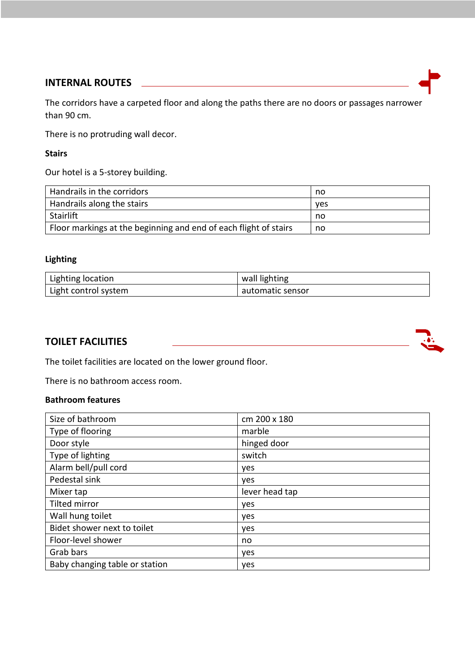#### **INTERNAL ROUTES**

The corridors have a carpeted floor and along the paths there are no doors or passages narrower than 90 cm.

There is no protruding wall decor.

#### **Stairs**

Our hotel is a 5-storey building.

| Handrails in the corridors                                       | no         |
|------------------------------------------------------------------|------------|
| Handrails along the stairs                                       | <b>ves</b> |
| Stairlift                                                        | no         |
| Floor markings at the beginning and end of each flight of stairs | no         |

## **Lighting**

| Lighting location    | wall lighting    |
|----------------------|------------------|
| Light control system | automatic sensor |

#### **TOILET FACILITIES**



The toilet facilities are located on the lower ground floor.

There is no bathroom access room.

#### **Bathroom features**

| Size of bathroom               | cm 200 x 180   |
|--------------------------------|----------------|
| Type of flooring               | marble         |
| Door style                     | hinged door    |
| Type of lighting               | switch         |
| Alarm bell/pull cord           | yes            |
| Pedestal sink                  | yes            |
| Mixer tap                      | lever head tap |
| <b>Tilted mirror</b>           | yes            |
| Wall hung toilet               | yes            |
| Bidet shower next to toilet    | yes            |
| Floor-level shower             | no             |
| Grab bars                      | yes            |
| Baby changing table or station | yes            |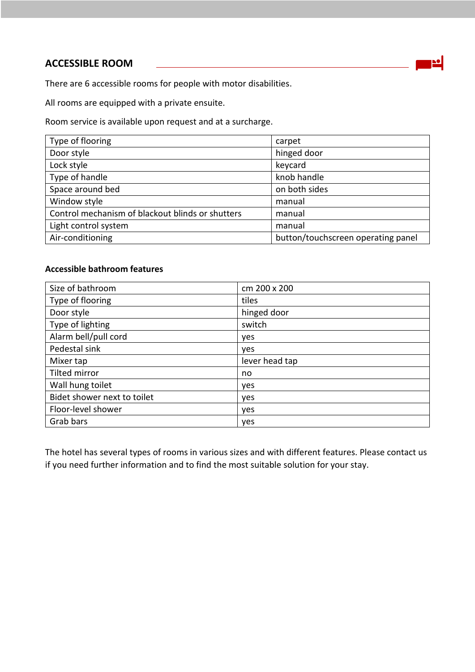## **ACCESSIBLE ROOM**



There are 6 accessible rooms for people with motor disabilities.

All rooms are equipped with a private ensuite.

Room service is available upon request and at a surcharge.

| Type of flooring                                 | carpet                             |
|--------------------------------------------------|------------------------------------|
| Door style                                       | hinged door                        |
| Lock style                                       | keycard                            |
| Type of handle                                   | knob handle                        |
| Space around bed                                 | on both sides                      |
| Window style                                     | manual                             |
| Control mechanism of blackout blinds or shutters | manual                             |
| Light control system                             | manual                             |
| Air-conditioning                                 | button/touchscreen operating panel |

## **Accessible bathroom features**

| Size of bathroom            | cm 200 x 200   |
|-----------------------------|----------------|
| Type of flooring            | tiles          |
| Door style                  | hinged door    |
| Type of lighting            | switch         |
| Alarm bell/pull cord        | yes            |
| Pedestal sink               | yes            |
| Mixer tap                   | lever head tap |
| <b>Tilted mirror</b>        | no             |
| Wall hung toilet            | yes            |
| Bidet shower next to toilet | yes            |
| Floor-level shower          | yes            |
| Grab bars                   | yes            |

The hotel has several types of rooms in various sizes and with different features. Please contact us if you need further information and to find the most suitable solution for your stay.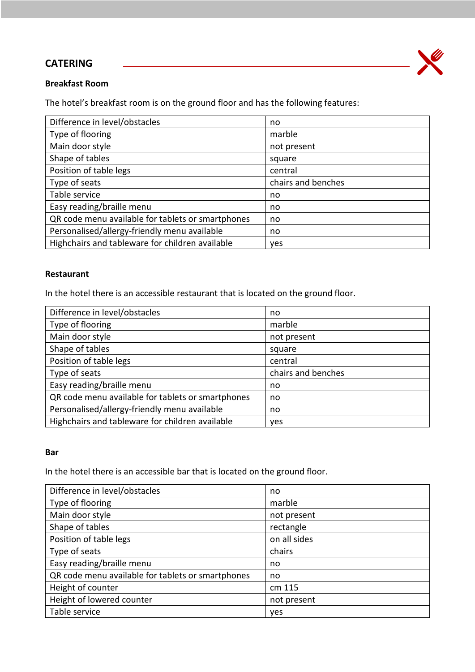## **CATERING**



#### **Breakfast Room**

The hotel's breakfast room is on the ground floor and has the following features:

| Difference in level/obstacles                     | no                 |
|---------------------------------------------------|--------------------|
| Type of flooring                                  | marble             |
| Main door style                                   | not present        |
| Shape of tables                                   | square             |
| Position of table legs                            | central            |
| Type of seats                                     | chairs and benches |
| Table service                                     | no                 |
| Easy reading/braille menu                         | no                 |
| QR code menu available for tablets or smartphones | no                 |
| Personalised/allergy-friendly menu available      | no                 |
| Highchairs and tableware for children available   | ves                |

#### **Restaurant**

In the hotel there is an accessible restaurant that is located on the ground floor.

| Difference in level/obstacles                     | no                 |
|---------------------------------------------------|--------------------|
| Type of flooring                                  | marble             |
| Main door style                                   | not present        |
| Shape of tables                                   | square             |
| Position of table legs                            | central            |
| Type of seats                                     | chairs and benches |
| Easy reading/braille menu                         | no                 |
| QR code menu available for tablets or smartphones | no                 |
| Personalised/allergy-friendly menu available      | no                 |
| Highchairs and tableware for children available   | <b>ves</b>         |

#### **Bar**

In the hotel there is an accessible bar that is located on the ground floor.

| Difference in level/obstacles                     | no           |
|---------------------------------------------------|--------------|
| Type of flooring                                  | marble       |
| Main door style                                   | not present  |
| Shape of tables                                   | rectangle    |
| Position of table legs                            | on all sides |
| Type of seats                                     | chairs       |
| Easy reading/braille menu                         | no           |
| QR code menu available for tablets or smartphones | no           |
| Height of counter                                 | cm 115       |
| Height of lowered counter                         | not present  |
| Table service                                     | yes          |